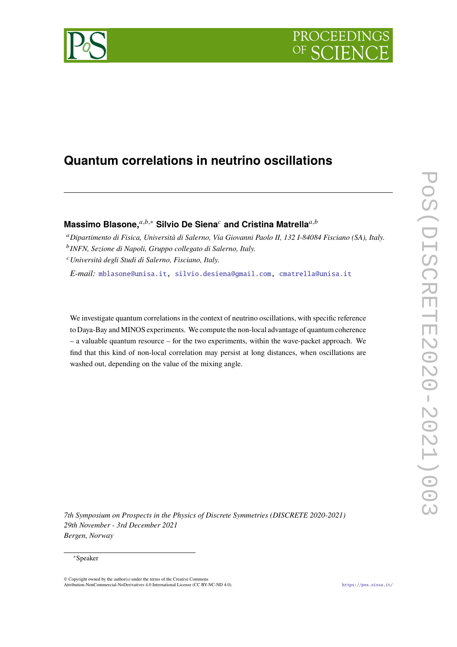

# **Quantum correlations in neutrino oscillations**

# **Massimo Blasone,**<sup>*a,b,∗*</sup> Silvio De Siena<sup>*c*</sup> and Cristina Matrella<sup>*a,b*</sup>

*Dipartimento di Fisica, Università di Salerno, Via Giovanni Paolo II, 132 I-84084 Fisciano (SA), Italy. INFN, Sezione di Napoli, Gruppo collegato di Salerno, Italy.*

*Università degli Studi di Salerno, Fisciano, Italy.*

*E-mail:* [mblasone@unisa.it,](mailto:mblasone@unisa.it) [silvio.desiena@gmail.com,](mailto:silvio.desiena@gmail.com) [cmatrella@unisa.it](mailto:cmatrella@unisa.it)

We investigate quantum correlations in the context of neutrino oscillations, with specific reference to Daya-Bay and MINOS experiments. We compute the non-local advantage of quantum coherence – a valuable quantum resource – for the two experiments, within the wave-packet approach. We find that this kind of non-local correlation may persist at long distances, when oscillations are washed out, depending on the value of the mixing angle.

*7th Symposium on Prospects in the Physics of Discrete Symmetries (DISCRETE 2020-2021) 29th November - 3rd December 2021 Bergen, Norway*

#### <sup>∗</sup>Speaker

<sup>©</sup> Copyright owned by the author(s) under the terms of the Creative Commons Attribution-NonCommercial-NoDerivatives 4.0 International License (CC BY-NC-ND 4.0). <https://pos.sissa.it/>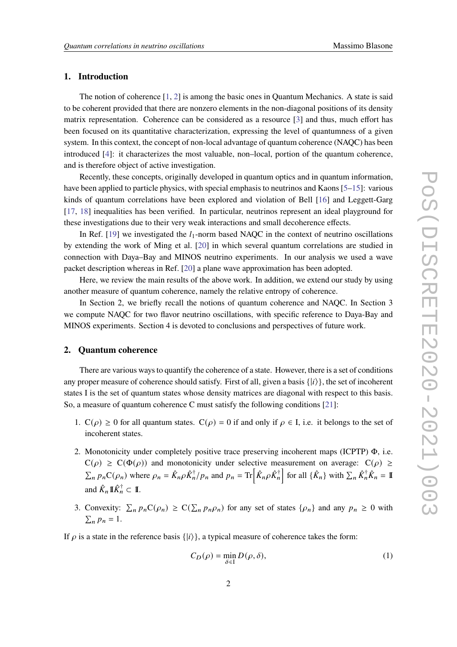# **1. Introduction**

The notion of coherence  $[1, 2]$  $[1, 2]$  $[1, 2]$  is among the basic ones in Quantum Mechanics. A state is said to be coherent provided that there are nonzero elements in the non-diagonal positions of its density matrix representation. Coherence can be considered as a resource [\[3\]](#page-8-2) and thus, much effort has been focused on its quantitative characterization, expressing the level of quantumness of a given system. In this context, the concept of non-local advantage of quantum coherence (NAQC) has been introduced [\[4\]](#page-8-3): it characterizes the most valuable, non–local, portion of the quantum coherence, and is therefore object of active investigation.

Recently, these concepts, originally developed in quantum optics and in quantum information, have been applied to particle physics, with special emphasis to neutrinos and Kaons [\[5–](#page-8-4)[15\]](#page-9-0): various kinds of quantum correlations have been explored and violation of Bell [\[16\]](#page-9-1) and Leggett-Garg [\[17,](#page-9-2) [18\]](#page-9-3) inequalities has been verified. In particular, neutrinos represent an ideal playground for these investigations due to their very weak interactions and small decoherence effects.

In Ref. [\[19\]](#page-9-4) we investigated the  $l_1$ -norm based NAQC in the context of neutrino oscillations by extending the work of Ming et al. [\[20\]](#page-9-5) in which several quantum correlations are studied in connection with Daya–Bay and MINOS neutrino experiments. In our analysis we used a wave packet description whereas in Ref. [\[20\]](#page-9-5) a plane wave approximation has been adopted.

Here, we review the main results of the above work. In addition, we extend our study by using another measure of quantum coherence, namely the relative entropy of coherence.

In Section 2, we briefly recall the notions of quantum coherence and NAQC. In Section 3 we compute NAQC for two flavor neutrino oscillations, with specific reference to Daya-Bay and MINOS experiments. Section 4 is devoted to conclusions and perspectives of future work.

# **2. Quantum coherence**

There are various ways to quantify the coherence of a state. However, there is a set of conditions any proper measure of coherence should satisfy. First of all, given a basis  $\{|i\rangle\}$ , the set of incoherent states I is the set of quantum states whose density matrices are diagonal with respect to this basis. So, a measure of quantum coherence C must satisfy the following conditions [\[21\]](#page-9-6):

- 1. C( $\rho$ ) ≥ 0 for all quantum states. C( $\rho$ ) = 0 if and only if  $\rho \in I$ , i.e. it belongs to the set of incoherent states.
- 2. Monotonicity under completely positive trace preserving incoherent maps (ICPTP) Φ, i.e.  $C(\rho) \geq C(\Phi(\rho))$  and monotonicity under selective measurement on average:  $C(\rho) \geq$  $\sum_n p_n C(\rho_n)$  where  $\rho_n = \hat{K}_n \rho \hat{K}_n^{\dagger}/p_n$  and  $p_n = \text{Tr} \left[ \hat{K}_n \rho \hat{K}_n^{\dagger} \right]$  for all  $\{ \hat{K}_n \}$  with  $\sum_n \hat{K}_n^{\dagger} \hat{K}_n = \mathbb{I}$ and  $\hat{K}_n \mathbb{I} \hat{K}_n^{\dagger} \subset \mathbb{I}$ .
- 3. Convexity:  $\sum_{n} p_n C(\rho_n) \geq C(\sum_{n} p_n \rho_n)$  for any set of states  $\{\rho_n\}$  and any  $p_n \geq 0$  with  $\sum_{n} p_n = 1.$

If  $\rho$  is a state in the reference basis  $\{|i\rangle\}$ , a typical measure of coherence takes the form:

$$
C_D(\rho) = \min_{\delta \in \mathcal{I}} D(\rho, \delta),\tag{1}
$$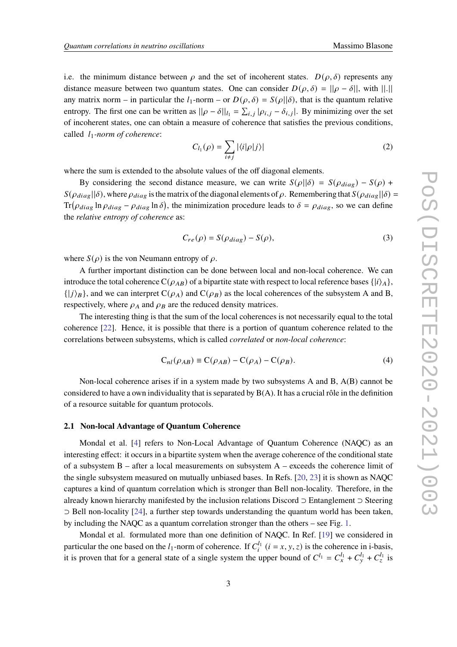i.e. the minimum distance between  $\rho$  and the set of incoherent states.  $D(\rho, \delta)$  represents any distance measure between two quantum states. One can consider  $D(\rho, \delta) = ||\rho - \delta||$ , with  $||.||$ any matrix norm – in particular the  $l_1$ -norm – or  $D(\rho, \delta) = S(\rho||\delta)$ , that is the quantum relative entropy. The first one can be written as  $||\rho - \delta||_{l_1} = \sum_{i,j} |\rho_{i,j} - \delta_{i,j}|$ . By minimizing over the set of incoherent states, one can obtain a measure of coherence that satisfies the previous conditions, called 1*-norm of coherence*:

$$
C_{l_1}(\rho) = \sum_{i \neq j} |\langle i|\rho|j\rangle| \tag{2}
$$

where the sum is extended to the absolute values of the off diagonal elements.

By considering the second distance measure, we can write  $S(\rho || \delta) = S(\rho_{diag}) - S(\rho) +$  $S(\rho_{diag}||\delta)$ , where  $\rho_{diag}$  is the matrix of the diagonal elements of  $\rho$ . Remembering that  $S(\rho_{diag}||\delta)$  =  $Tr(\rho_{diag} \ln \rho_{diag} - \rho_{diag} \ln \delta)$ , the minimization procedure leads to  $\delta = \rho_{diag}$ , so we can define the *relative entropy of coherence* as:

$$
C_{re}(\rho) = S(\rho_{diag}) - S(\rho), \qquad (3)
$$

where  $S(\rho)$  is the von Neumann entropy of  $\rho$ .

A further important distinction can be done between local and non-local coherence. We can introduce the total coherence  $C(\rho_{AB})$  of a bipartite state with respect to local reference bases  $\{|i\rangle_A\}$ ,  $\{|j\rangle_B\}$ , and we can interpret  $C(\rho_A)$  and  $C(\rho_B)$  as the local coherences of the subsystem A and B, respectively, where  $\rho_A$  and  $\rho_B$  are the reduced density matrices.

The interesting thing is that the sum of the local coherences is not necessarily equal to the total coherence [\[22\]](#page-9-7). Hence, it is possible that there is a portion of quantum coherence related to the correlations between subsystems, which is called *correlated* or *non-local coherence*:

$$
C_{nl}(\rho_{AB}) \equiv C(\rho_{AB}) - C(\rho_A) - C(\rho_B). \tag{4}
$$

Non-local coherence arises if in a system made by two subsystems A and B, A(B) cannot be considered to have a own individuality that is separated by  $B(A)$ . It has a crucial rôle in the definition of a resource suitable for quantum protocols.

#### <span id="page-2-0"></span>**2.1 Non-local Advantage of Quantum Coherence**

Mondal et al. [\[4\]](#page-8-3) refers to Non-Local Advantage of Quantum Coherence (NAQC) as an interesting effect: it occurs in a bipartite system when the average coherence of the conditional state of a subsystem B – after a local measurements on subsystem A – exceeds the coherence limit of the single subsystem measured on mutually unbiased bases. In Refs. [\[20,](#page-9-5) [23\]](#page-9-8) it is shown as NAQC captures a kind of quantum correlation which is stronger than Bell non-locality. Therefore, in the already known hierarchy manifested by the inclusion relations Discord ⊃ Entanglement ⊃ Steering ⊃ Bell non-locality [\[24\]](#page-9-9), a further step towards understanding the quantum world has been taken, by including the NAQC as a quantum correlation stronger than the others – see Fig. [1.](#page-3-0)

Mondal et al. formulated more than one definition of NAQC. In Ref. [\[19\]](#page-9-4) we considered in particular the one based on the  $l_1$ -norm of coherence. If  $C_i^{l_1}$   $(i = x, y, z)$  is the coherence in i-basis, it is proven that for a general state of a single system the upper bound of  $C^{l_1} = C_x^{l_1} + C_y^{l_1} + C_z^{l_1}$  is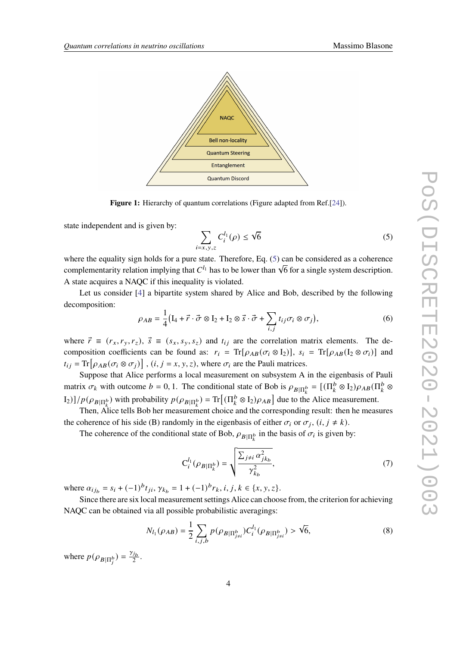<span id="page-3-0"></span>

**Figure 1:** Hierarchy of quantum correlations (Figure adapted from Ref.[\[24\]](#page-9-9)).

state independent and is given by:

<span id="page-3-1"></span>
$$
\sum_{i=x,y,z} C_i^{l_1}(\rho) \le \sqrt{6} \tag{5}
$$

where the equality sign holds for a pure state. Therefore, Eq. [\(5\)](#page-3-1) can be considered as a coherence where the equality sign holds for a pure state. Therefore, Eq. (5) can be considered as a conerence complementarity relation implying that  $C^{l_1}$  has to be lower than  $\sqrt{6}$  for a single system description. A state acquires a NAQC if this inequality is violated.

Let us consider [\[4\]](#page-8-3) a bipartite system shared by Alice and Bob, described by the following decomposition:

<span id="page-3-2"></span>
$$
\rho_{AB} = \frac{1}{4} \left( \mathbf{I}_4 + \vec{r} \cdot \vec{\sigma} \otimes \mathbf{I}_2 + \mathbf{I}_2 \otimes \vec{s} \cdot \vec{\sigma} + \sum_{i,j} t_{ij} \sigma_i \otimes \sigma_j \right),\tag{6}
$$

where  $\vec{r} \equiv (r_x, r_y, r_z)$ ,  $\vec{s} \equiv (s_x, s_y, s_z)$  and  $t_{ij}$  are the correlation matrix elements. The decomposition coefficients can be found as:  $r_i = Tr[\rho_{AB}(\sigma_i \otimes I_2)], s_i = Tr[\rho_{AB}(I_2 \otimes \sigma_i)]$  and  $t_{ij} = \text{Tr} \big[ \rho_{AB} (\sigma_i \otimes \sigma_j) \big]$ ,  $(i, j = x, y, z)$ , where  $\sigma_i$  are the Pauli matrices.

Suppose that Alice performs a local measurement on subsystem A in the eigenbasis of Pauli matrix  $\sigma_k$  with outcome  $b = 0, 1$ . The conditional state of Bob is  $\rho_{B|\Pi_k^b} = [(\Pi_k^b \otimes I_2)\rho_{AB}(\Pi_k^b \otimes I_3)]$  $\text{Tr}[(\prod_{k=1}^{b} \mathcal{O}_{B|\Pi_{k}^{b}})] = \text{Tr}[(\prod_{k=1}^{b} \mathcal{O}_{B|\Pi_{k}^{b}})]$  due to the Alice measurement.

Then, Alice tells Bob her measurement choice and the corresponding result: then he measures the coherence of his side (B) randomly in the eigenbasis of either  $\sigma_i$  or  $\sigma_j$ ,  $(i, j \neq k)$ .

The coherence of the conditional state of Bob,  $\rho_{B|\Pi^b_k}$  in the basis of  $\sigma_i$  is given by:

$$
C_i^{l_1}(\rho_{B|\Pi_k^b}) = \sqrt{\frac{\sum_{j\neq i} \alpha_{j k_b}^2}{\gamma_{k_b}^2}},
$$
\n(7)

where  $\alpha_{ij_b} = s_i + (-1)^b t_{ji}, \gamma_{k_b} = 1 + (-1)^b r_k, i, j, k \in \{x, y, z\}.$ 

Since there are six local measurement settings Alice can choose from, the criterion for achieving NAQC can be obtained via all possible probabilistic averagings:

$$
N_{l_1}(\rho_{AB}) = \frac{1}{2} \sum_{i,j,b} p(\rho_{B|\Pi_{j\neq i}^b}) C_i^{l_1}(\rho_{B|\Pi_{j\neq i}^b}) > \sqrt{6},
$$
\n(8)

where  $p(\rho_{B|\Pi_i^b}) = \frac{\gamma_{j_b}}{2}$  $rac{J_b}{2}$ .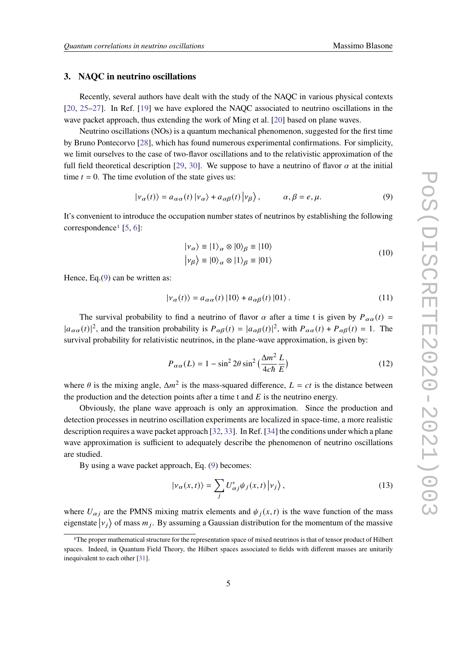#### **3. NAQC in neutrino oscillations**

Recently, several authors have dealt with the study of the NAQC in various physical contexts [\[20,](#page-9-5) [25–](#page-9-10)[27\]](#page-9-11). In Ref. [\[19\]](#page-9-4) we have explored the NAQC associated to neutrino oscillations in the wave packet approach, thus extending the work of Ming et al. [\[20\]](#page-9-5) based on plane waves.

Neutrino oscillations (NOs) is a quantum mechanical phenomenon, suggested for the first time by Bruno Pontecorvo [\[28\]](#page-9-12), which has found numerous experimental confirmations. For simplicity, we limit ourselves to the case of two-flavor oscillations and to the relativistic approximation of the full field theoretical description [\[29,](#page-9-13) [30\]](#page-9-14). We suppose to have a neutrino of flavor  $\alpha$  at the initial time  $t = 0$ . The time evolution of the state gives us:

<span id="page-4-1"></span>
$$
|\nu_{\alpha}(t)\rangle = a_{\alpha\alpha}(t) |\nu_{\alpha}\rangle + a_{\alpha\beta}(t) |\nu_{\beta}\rangle, \qquad \alpha, \beta = e, \mu.
$$
 (9)

It's convenient to introduce the occupation number states of neutrinos by establishing the following correspondence<sup>[1](#page-4-0)</sup> [\[5,](#page-8-4) [6\]](#page-8-5):

$$
|\nu_{\alpha}\rangle \equiv |1\rangle_{\alpha} \otimes |0\rangle_{\beta} \equiv |10\rangle
$$
  

$$
|\nu_{\beta}\rangle \equiv |0\rangle_{\alpha} \otimes |1\rangle_{\beta} \equiv |01\rangle
$$
 (10)

Hence, Eq.[\(9\)](#page-4-1) can be written as:

<span id="page-4-2"></span>
$$
|\nu_{\alpha}(t)\rangle = a_{\alpha\alpha}(t) |10\rangle + a_{\alpha\beta}(t) |01\rangle. \tag{11}
$$

The survival probability to find a neutrino of flavor  $\alpha$  after a time t is given by  $P_{\alpha\alpha}(t)$  =  $|a_{\alpha\alpha}(t)|^2$ , and the transition probability is  $P_{\alpha\beta}(t) = |a_{\alpha\beta}(t)|^2$ , with  $P_{\alpha\alpha}(t) + P_{\alpha\beta}(t) = 1$ . The survival probability for relativistic neutrinos, in the plane-wave approximation, is given by:

$$
P_{\alpha\alpha}(L) = 1 - \sin^2 2\theta \sin^2 \left(\frac{\Delta m^2}{4c\hbar} \frac{L}{E}\right)
$$
 (12)

where  $\theta$  is the mixing angle,  $\Delta m^2$  is the mass-squared difference,  $L = ct$  is the distance between the production and the detection points after a time t and  $E$  is the neutrino energy.

Obviously, the plane wave approach is only an approximation. Since the production and detection processes in neutrino oscillation experiments are localized in space-time, a more realistic description requires a wave packet approach [\[32,](#page-9-15) [33\]](#page-9-16). In Ref. [\[34\]](#page-9-17) the conditions under which a plane wave approximation is sufficient to adequately describe the phenomenon of neutrino oscillations are studied.

By using a wave packet approach, Eq. [\(9\)](#page-4-1) becomes:

$$
|\nu_{\alpha}(x,t)\rangle = \sum_{j} U_{\alpha j}^{*} \psi_{j}(x,t) |v_{j}\rangle, \qquad (13)
$$

where  $U_{\alpha j}$  are the PMNS mixing matrix elements and  $\psi_j(x, t)$  is the wave function of the mass eigenstate  $|v_j\rangle$  of mass  $m_j$ . By assuming a Gaussian distribution for the momentum of the massive

<span id="page-4-0"></span><sup>1</sup>The proper mathematical structure for the representation space of mixed neutrinos is that of tensor product of Hilbert spaces. Indeed, in Quantum Field Theory, the Hilbert spaces associated to fields with different masses are unitarily inequivalent to each other [\[31\]](#page-9-18).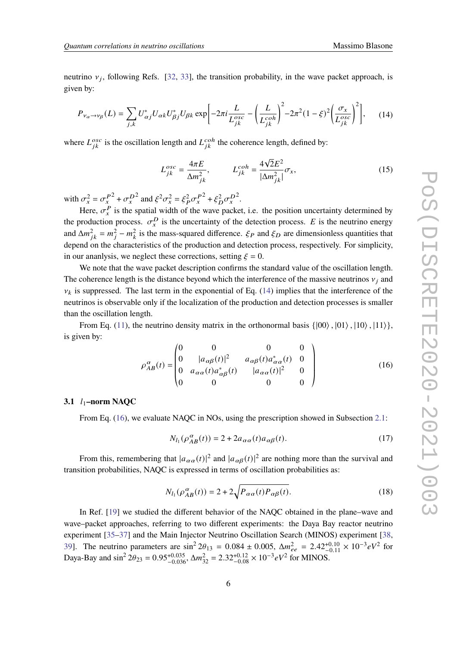neutrino  $v_j$ , following Refs. [\[32,](#page-9-15) [33\]](#page-9-16), the transition probability, in the wave packet approach, is given by:

<span id="page-5-0"></span>
$$
P_{\nu_{\alpha}\to\nu_{\beta}}(L) = \sum_{j,k} U_{\alpha j}^* U_{\alpha k} U_{\beta j}^* U_{\beta k} \exp\left[-2\pi i \frac{L}{L_{jk}^{osc}} - \left(\frac{L}{L_{jk}^{coh}}\right)^2 - 2\pi^2 (1-\xi)^2 \left(\frac{\sigma_x}{L_{jk}^{osc}}\right)^2\right],\tag{14}
$$

where  $L_{ik}^{\text{osc}}$  is the oscillation length and  $L_{ik}^{\text{coh}}$  the coherence length, defined by:

$$
L_{jk}^{osc} = \frac{4\pi E}{\Delta m_{jk}^2}, \qquad L_{jk}^{coh} = \frac{4\sqrt{2}E^2}{|\Delta m_{jk}^2|} \sigma_x,
$$
 (15)

with  $\sigma_x^2 = \sigma_x^{P^2} + \sigma_x^{D^2}$  and  $\xi^2 \sigma_x^2 = \xi_P^2 \sigma_x^{P^2} + \xi_D^2 \sigma_x^{D^2}$ .

Here,  $\sigma_x^P$  is the spatial width of the wave packet, i.e. the position uncertainty determined by the production process.  $\sigma_x^D$  is the uncertainty of the detection process. E is the neutrino energy and  $\Delta m_{ik}^2 = m_i^2 - m_k^2$  is the mass-squared difference.  $\xi_P$  and  $\xi_D$  are dimensionless quantities that depend on the characteristics of the production and detection process, respectively. For simplicity, in our ananlysis, we neglect these corrections, setting  $\xi = 0$ .

We note that the wave packet description confirms the standard value of the oscillation length. The coherence length is the distance beyond which the interference of the massive neutrinos  $v_i$  and  $v_k$  is suppressed. The last term in the exponential of Eq. [\(14\)](#page-5-0) implies that the interference of the neutrinos is observable only if the localization of the production and detection processes is smaller than the oscillation length.

From Eq. [\(11\)](#page-4-2), the neutrino density matrix in the orthonormal basis  $\{|00\rangle, |01\rangle, |10\rangle, |11\rangle\}$ , is given by:

<span id="page-5-1"></span>
$$
\rho_{AB}^{\alpha}(t) = \begin{pmatrix} 0 & 0 & 0 & 0 \\ 0 & |a_{\alpha\beta}(t)|^2 & a_{\alpha\beta}(t)a_{\alpha\alpha}^*(t) & 0 \\ 0 & a_{\alpha\alpha}(t)a_{\alpha\beta}^*(t) & |a_{\alpha\alpha}(t)|^2 & 0 \\ 0 & 0 & 0 & 0 \end{pmatrix}
$$
(16)

### **3.1** 1**–norm NAQC**

From Eq. [\(16\)](#page-5-1), we evaluate NAOC in NOs, using the prescription showed in Subsection [2.1:](#page-2-0)

$$
N_{l_1}(\rho_{AB}^{\alpha}(t)) = 2 + 2a_{\alpha\alpha}(t)a_{\alpha\beta}(t). \tag{17}
$$

From this, remembering that  $|a_{\alpha\alpha}(t)|^2$  and  $|a_{\alpha\beta}(t)|^2$  are nothing more than the survival and transition probabilities, NAQC is expressed in terms of oscillation probabilities as:

$$
N_{l_1}(\rho_{AB}^{\alpha}(t)) = 2 + 2\sqrt{P_{\alpha\alpha}(t)P_{\alpha\beta}(t)}.
$$
\n(18)

In Ref. [\[19\]](#page-9-4) we studied the different behavior of the NAQC obtained in the plane–wave and wave–packet approaches, referring to two different experiments: the Daya Bay reactor neutrino experiment [\[35](#page-9-19)[–37\]](#page-9-20) and the Main Injector Neutrino Oscillation Search (MINOS) experiment [\[38,](#page-10-0) [39\]](#page-10-1). The neutrino parameters are  $\sin^2 2\theta_{13} = 0.084 \pm 0.005$ ,  $\Delta m_{ee}^2 = 2.42^{+0.10}_{-0.11} \times 10^{-3} eV^2$  for Daya-Bay and  $\sin^2 2\theta_{23} = 0.95^{+0.035}_{-0.036}$ ,  $\Delta m_{32}^2 = 2.32^{+0.12}_{-0.08} \times 10^{-3} eV^2$  for MINOS.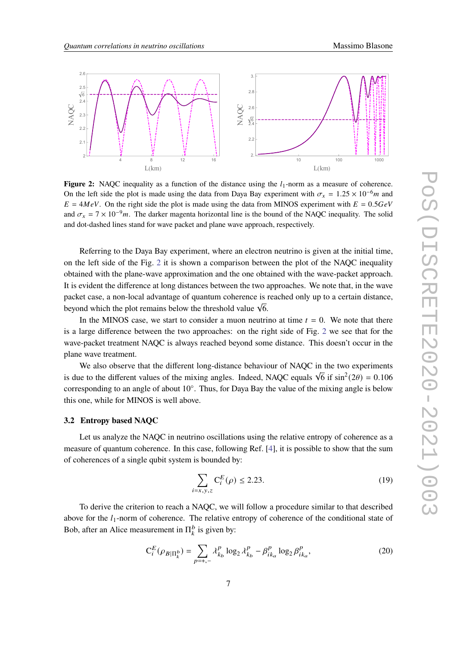<span id="page-6-0"></span>

**Figure 2:** NAQC inequality as a function of the distance using the  $l_1$ -norm as a measure of coherence. On the left side the plot is made using the data from Daya Bay experiment with  $\sigma_x = 1.25 \times 10^{-6} m$  and  $E = 4MeV$ . On the right side the plot is made using the data from MINOS experiment with  $E = 0.5 GeV$ and  $\sigma_x = 7 \times 10^{-9}$ m. The darker magenta horizontal line is the bound of the NAQC inequality. The solid and dot-dashed lines stand for wave packet and plane wave approach, respectively.

Referring to the Daya Bay experiment, where an electron neutrino is given at the initial time, on the left side of the Fig. [2](#page-6-0) it is shown a comparison between the plot of the NAQC inequality obtained with the plane-wave approximation and the one obtained with the wave-packet approach. It is evident the difference at long distances between the two approaches. We note that, in the wave packet case, a non-local advantage of quantum coherence is reached only up to a certain distance, beyond which the plot remains below the threshold value  $\sqrt{6}$ .

In the MINOS case, we start to consider a muon neutrino at time  $t = 0$ . We note that there is a large difference between the two approaches: on the right side of Fig. [2](#page-6-0) we see that for the wave-packet treatment NAQC is always reached beyond some distance. This doesn't occur in the plane wave treatment.

We also observe that the different long-distance behaviour of NAQC in the two experiments is due to the different values of the mixing angles. Indeed, NAQC equals  $\sqrt{6}$  if  $\sin^2(2\theta) = 0.106$ corresponding to an angle of about 10°. Thus, for Daya Bay the value of the mixing angle is below this one, while for MINOS is well above.

### **3.2 Entropy based NAQC**

Let us analyze the NAQC in neutrino oscillations using the relative entropy of coherence as a measure of quantum coherence. In this case, following Ref. [\[4\]](#page-8-3), it is possible to show that the sum of coherences of a single qubit system is bounded by:

$$
\sum_{i=x,y,z} C_i^E(\rho) \le 2.23.
$$
 (19)

To derive the criterion to reach a NAQC, we will follow a procedure similar to that described above for the  $l_1$ -norm of coherence. The relative entropy of coherence of the conditional state of Bob, after an Alice measurement in  $\prod_k^b$  is given by:

$$
C_i^E(\rho_{B|\Pi_k^b}) = \sum_{p=+,-} \lambda_{k_b}^p \log_2 \lambda_{k_b}^p - \beta_{ik_a}^p \log_2 \beta_{ik_a}^p,
$$
 (20)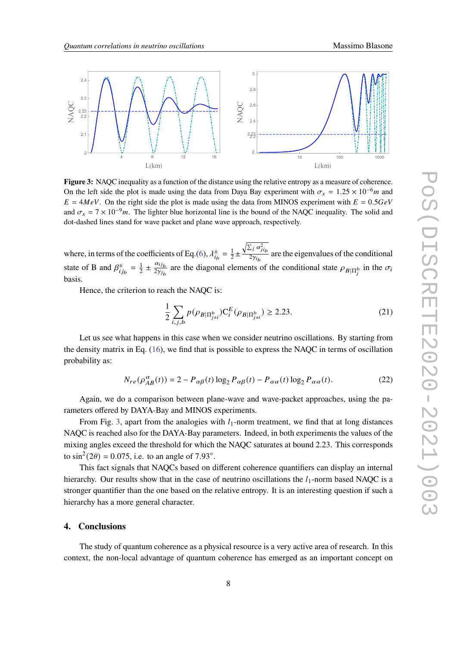<span id="page-7-0"></span>

**Figure 3:** NAQC inequality as a function of the distance using the relative entropy as a measure of coherence. On the left side the plot is made using the data from Daya Bay experiment with  $\sigma_x = 1.25 \times 10^{-6} m$  and  $E = 4MeV$ . On the right side the plot is made using the data from MINOS experiment with  $E = 0.5 GeV$ and  $\sigma_x = 7 \times 10^{-9}$ m. The lighter blue horizontal line is the bound of the NAQC inequality. The solid and dot-dashed lines stand for wave packet and plane wave approach, respectively.

where, in terms of the coefficients of Eq.[\(6\)](#page-3-2),  $\lambda_{i_b}^{\pm} = \frac{1}{2}$  $rac{1}{2}$   $\pm$  $\sqrt{\sum_j \alpha_{ji_b}^2}$  $\frac{2\gamma - \mu_b}{2\gamma_i}$  are the eigenvalues of the conditional state of B and  $\beta_{ijb}^{\pm} = \frac{1}{2}$  $rac{1}{2} \pm \frac{\alpha_{ij_b}}{2\gamma_{i_b}}$  $\frac{\alpha_{ij_b}}{2\gamma_{j_b}}$  are the diagonal elements of the conditional state  $\rho_{B|\Pi_j^b}$  in the  $\sigma_i$ basis.

Hence, the criterion to reach the NAQC is:

$$
\frac{1}{2} \sum_{i,j,b} p(\rho_{B|\Pi_{j\neq i}^{b}}) C_{i}^{E}(\rho_{B|\Pi_{j\neq i}^{b}}) \ge 2.23.
$$
 (21)

Let us see what happens in this case when we consider neutrino oscillations. By starting from the density matrix in Eq. [\(16\)](#page-5-1), we find that is possible to express the NAQC in terms of oscillation probability as:

$$
N_{re}(\rho_{AB}^{\alpha}(t)) = 2 - P_{\alpha\beta}(t) \log_2 P_{\alpha\beta}(t) - P_{\alpha\alpha}(t) \log_2 P_{\alpha\alpha}(t). \tag{22}
$$

Again, we do a comparison between plane-wave and wave-packet approaches, using the parameters offered by DAYA-Bay and MINOS experiments.

From Fig. [3,](#page-7-0) apart from the analogies with  $l_1$ -norm treatment, we find that at long distances NAQC is reached also for the DAYA-Bay parameters. Indeed, in both experiments the values of the mixing angles exceed the threshold for which the NAQC saturates at bound 2.23. This corresponds to  $\sin^2(2\theta) = 0.075$ , i.e. to an angle of 7.93°.

This fact signals that NAQCs based on different coherence quantifiers can display an internal hierarchy. Our results show that in the case of neutrino oscillations the  $l_1$ -norm based NAQC is a stronger quantifier than the one based on the relative entropy. It is an interesting question if such a hierarchy has a more general character.

# **4. Conclusions**

The study of quantum coherence as a physical resource is a very active area of research. In this context, the non-local advantage of quantum coherence has emerged as an important concept on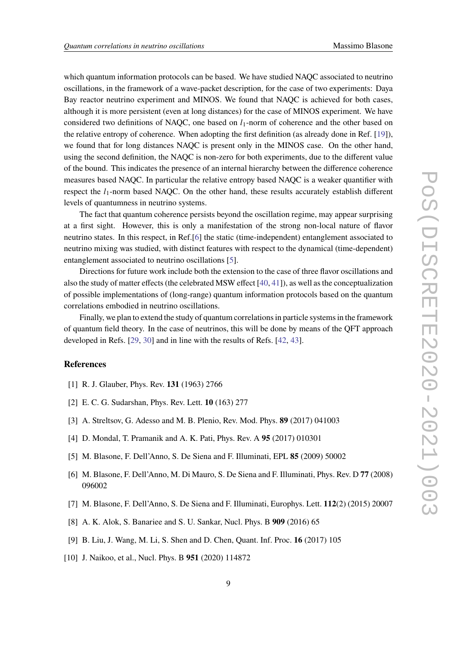which quantum information protocols can be based. We have studied NAQC associated to neutrino oscillations, in the framework of a wave-packet description, for the case of two experiments: Daya Bay reactor neutrino experiment and MINOS. We found that NAQC is achieved for both cases, although it is more persistent (even at long distances) for the case of MINOS experiment. We have considered two definitions of NAQC, one based on  $l_1$ -norm of coherence and the other based on the relative entropy of coherence. When adopting the first definition (as already done in Ref. [\[19\]](#page-9-4)), we found that for long distances NAQC is present only in the MINOS case. On the other hand, using the second definition, the NAQC is non-zero for both experiments, due to the different value of the bound. This indicates the presence of an internal hierarchy between the difference coherence measures based NAQC. In particular the relative entropy based NAQC is a weaker quantifier with respect the  $l_1$ -norm based NAOC. On the other hand, these results accurately establish different levels of quantumness in neutrino systems.

The fact that quantum coherence persists beyond the oscillation regime, may appear surprising at a first sight. However, this is only a manifestation of the strong non-local nature of flavor neutrino states. In this respect, in Ref.[\[6\]](#page-8-5) the static (time-independent) entanglement associated to neutrino mixing was studied, with distinct features with respect to the dynamical (time-dependent) entanglement associated to neutrino oscillations [\[5\]](#page-8-4).

Directions for future work include both the extension to the case of three flavor oscillations and also the study of matter effects (the celebrated MSW effect [\[40,](#page-10-2) [41\]](#page-10-3)), as well as the conceptualization of possible implementations of (long-range) quantum information protocols based on the quantum correlations embodied in neutrino oscillations.

Finally, we plan to extend the study of quantum correlations in particle systems in the framework of quantum field theory. In the case of neutrinos, this will be done by means of the QFT approach developed in Refs. [\[29,](#page-9-13) [30\]](#page-9-14) and in line with the results of Refs. [\[42,](#page-10-4) [43\]](#page-10-5).

# **References**

- <span id="page-8-0"></span>[1] R. J. Glauber, Phys. Rev. **131** (1963) 2766
- <span id="page-8-1"></span>[2] E. C. G. Sudarshan, Phys. Rev. Lett. **10** (163) 277
- <span id="page-8-2"></span>[3] A. Streltsov, G. Adesso and M. B. Plenio, Rev. Mod. Phys. **89** (2017) 041003
- <span id="page-8-3"></span>[4] D. Mondal, T. Pramanik and A. K. Pati, Phys. Rev. A **95** (2017) 010301
- <span id="page-8-4"></span>[5] M. Blasone, F. Dell'Anno, S. De Siena and F. Illuminati, EPL **85** (2009) 50002
- <span id="page-8-5"></span>[6] M. Blasone, F. Dell'Anno, M. Di Mauro, S. De Siena and F. Illuminati, Phys. Rev. D **77** (2008) 096002
- [7] M. Blasone, F. Dell'Anno, S. De Siena and F. Illuminati, Europhys. Lett. **112**(2) (2015) 20007
- [8] A. K. Alok, S. Banariee and S. U. Sankar, Nucl. Phys. B **909** (2016) 65
- [9] B. Liu, J. Wang, M. Li, S. Shen and D. Chen, Quant. Inf. Proc. **16** (2017) 105
- [10] J. Naikoo, et al., Nucl. Phys. B **951** (2020) 114872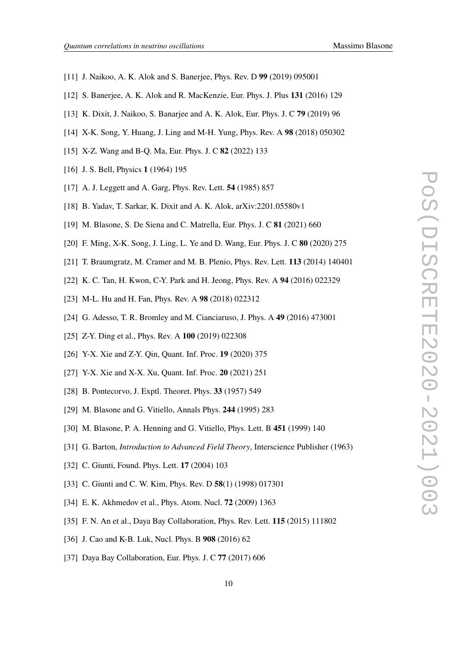- [11] J. Naikoo, A. K. Alok and S. Banerjee, Phys. Rev. D **99** (2019) 095001
- [12] S. Banerjee, A. K. Alok and R. MacKenzie, Eur. Phys. J. Plus **131** (2016) 129
- [13] K. Dixit, J. Naikoo, S. Banarjee and A. K. Alok, Eur. Phys. J. C **79** (2019) 96
- [14] X-K. Song, Y. Huang, J. Ling and M-H. Yung, Phys. Rev. A **98** (2018) 050302
- <span id="page-9-0"></span>[15] X-Z. Wang and B-Q. Ma, Eur. Phys. J. C **82** (2022) 133
- <span id="page-9-1"></span>[16] J. S. Bell, Physics **1** (1964) 195
- <span id="page-9-2"></span>[17] A. J. Leggett and A. Garg, Phys. Rev. Lett. **54** (1985) 857
- <span id="page-9-3"></span>[18] B. Yadav, T. Sarkar, K. Dixit and A. K. Alok, arXiv:2201.05580v1
- <span id="page-9-4"></span>[19] M. Blasone, S. De Siena and C. Matrella, Eur. Phys. J. C **81** (2021) 660
- <span id="page-9-5"></span>[20] F. Ming, X-K. Song, J. Ling, L. Ye and D. Wang, Eur. Phys. J. C **80** (2020) 275
- <span id="page-9-6"></span>[21] T. Braumgratz, M. Cramer and M. B. Plenio, Phys. Rev. Lett. **113** (2014) 140401
- <span id="page-9-7"></span>[22] K. C. Tan, H. Kwon, C-Y. Park and H. Jeong, Phys. Rev. A **94** (2016) 022329
- <span id="page-9-8"></span>[23] M-L. Hu and H. Fan, Phys. Rev. A **98** (2018) 022312
- <span id="page-9-9"></span>[24] G. Adesso, T. R. Bromley and M. Cianciaruso, J. Phys. A **49** (2016) 473001
- <span id="page-9-10"></span>[25] Z-Y. Ding et al., Phys. Rev. A **100** (2019) 022308
- [26] Y-X. Xie and Z-Y. Qin, Quant. Inf. Proc. **19** (2020) 375
- <span id="page-9-11"></span>[27] Y-X. Xie and X-X. Xu, Quant. Inf. Proc. **20** (2021) 251
- <span id="page-9-12"></span>[28] B. Pontecorvo, J. Exptl. Theoret. Phys. **33** (1957) 549
- <span id="page-9-13"></span>[29] M. Blasone and G. Vitiello, Annals Phys. **244** (1995) 283
- <span id="page-9-14"></span>[30] M. Blasone, P. A. Henning and G. Vitiello, Phys. Lett. B **451** (1999) 140
- <span id="page-9-18"></span>[31] G. Barton, *Introduction to Advanced Field Theory*, Interscience Publisher (1963)
- <span id="page-9-15"></span>[32] C. Giunti, Found. Phys. Lett. **17** (2004) 103
- <span id="page-9-16"></span>[33] C. Giunti and C. W. Kim, Phys. Rev. D **58**(1) (1998) 017301
- <span id="page-9-17"></span>[34] E. K. Akhmedov et al., Phys. Atom. Nucl. **72** (2009) 1363
- <span id="page-9-19"></span>[35] F. N. An et al., Daya Bay Collaboration, Phys. Rev. Lett. **115** (2015) 111802
- [36] J. Cao and K-B. Luk, Nucl. Phys. B **908** (2016) 62
- <span id="page-9-20"></span>[37] Daya Bay Collaboration, Eur. Phys. J. C **77** (2017) 606